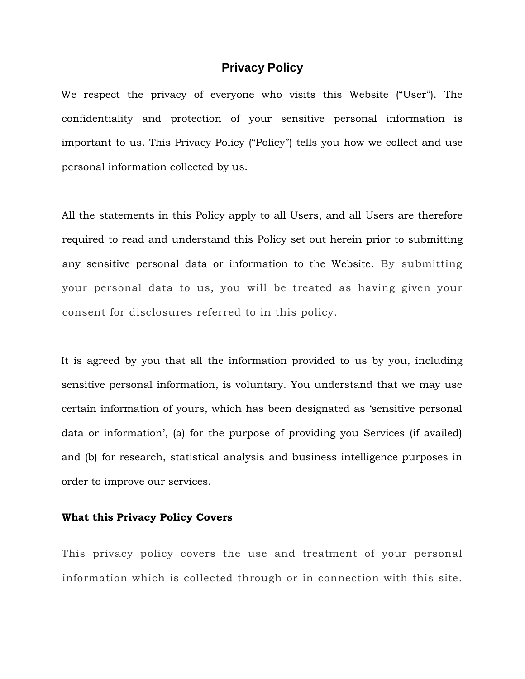# **Privacy Policy**

We respect the privacy of everyone who visits this Website ("User"). The confidentiality and protection of your sensitive personal information is important to us. This Privacy Policy ("Policy") tells you how we collect and use personal information collected by us.

All the statements in this Policy apply to all Users, and all Users are therefore required to read and understand this Policy set out herein prior to submitting any sensitive personal data or information to the Website. By submitting your personal data to us, you will be treated as having given your consent for disclosures referred to in this policy.

It is agreed by you that all the information provided to us by you, including sensitive personal information, is voluntary. You understand that we may use certain information of yours, which has been designated as 'sensitive personal data or information', (a) for the purpose of providing you Services (if availed) and (b) for research, statistical analysis and business intelligence purposes in order to improve our services.

#### **What this Privacy Policy Covers**

This privacy policy covers the use and treatment of your personal information which is collected through or in connection with this site.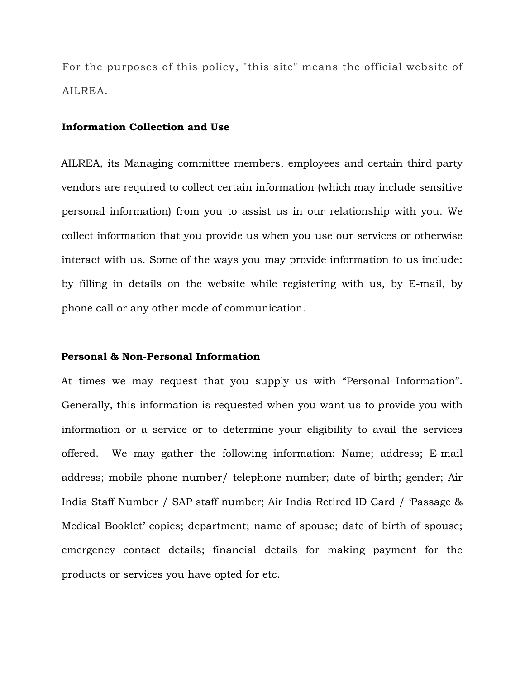For the purposes of this policy, "this site" means the official website of AILREA.

## **Information Collection and Use**

AILREA, its Managing committee members, employees and certain third party vendors are required to collect certain information (which may include sensitive personal information) from you to assist us in our relationship with you. We collect information that you provide us when you use our services or otherwise interact with us. Some of the ways you may provide information to us include: by filling in details on the website while registering with us, by E-mail, by phone call or any other mode of communication.

## **Personal & Non-Personal Information**

At times we may request that you supply us with "Personal Information". Generally, this information is requested when you want us to provide you with information or a service or to determine your eligibility to avail the services offered. We may gather the following information: Name; address; E-mail address; mobile phone number/ telephone number; date of birth; gender; Air India Staff Number / SAP staff number; Air India Retired ID Card / 'Passage & Medical Booklet' copies; department; name of spouse; date of birth of spouse; emergency contact details; financial details for making payment for the products or services you have opted for etc.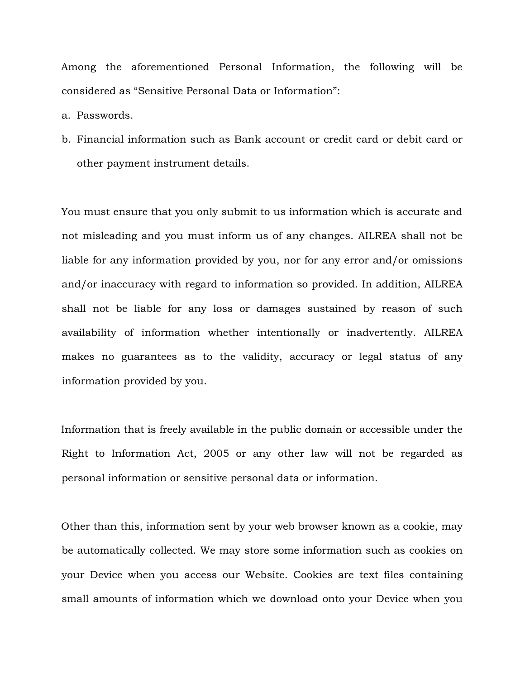Among the aforementioned Personal Information, the following will be considered as "Sensitive Personal Data or Information":

a. Passwords.

b. Financial information such as Bank account or credit card or debit card or other payment instrument details.

You must ensure that you only submit to us information which is accurate and not misleading and you must inform us of any changes. AILREA shall not be liable for any information provided by you, nor for any error and/or omissions and/or inaccuracy with regard to information so provided. In addition, AILREA shall not be liable for any loss or damages sustained by reason of such availability of information whether intentionally or inadvertently. AILREA makes no guarantees as to the validity, accuracy or legal status of any information provided by you.

Information that is freely available in the public domain or accessible under the Right to Information Act, 2005 or any other law will not be regarded as personal information or sensitive personal data or information.

Other than this, information sent by your web browser known as a cookie, may be automatically collected. We may store some information such as cookies on your Device when you access our Website. Cookies are text files containing small amounts of information which we download onto your Device when you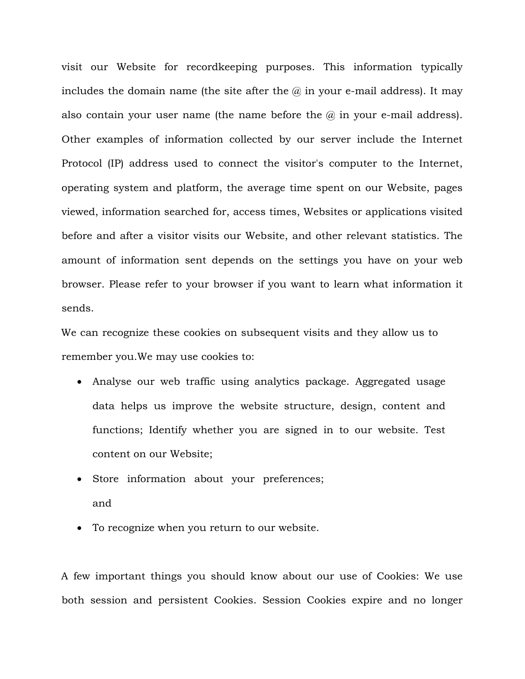visit our Website for recordkeeping purposes. This information typically includes the domain name (the site after the  $\omega$  in your e-mail address). It may also contain your user name (the name before the  $\omega$  in your e-mail address). Other examples of information collected by our server include the Internet Protocol (IP) address used to connect the visitor's computer to the Internet, operating system and platform, the average time spent on our Website, pages viewed, information searched for, access times, Websites or applications visited before and after a visitor visits our Website, and other relevant statistics. The amount of information sent depends on the settings you have on your web browser. Please refer to your browser if you want to learn what information it sends.

We can recognize these cookies on subsequent visits and they allow us to remember you.We may use cookies to:

- Analyse our web traffic using analytics package. Aggregated usage data helps us improve the website structure, design, content and functions; Identify whether you are signed in to our website. Test content on our Website;
- Store information about your preferences; and
- To recognize when you return to our website.

A few important things you should know about our use of Cookies: We use both session and persistent Cookies. Session Cookies expire and no longer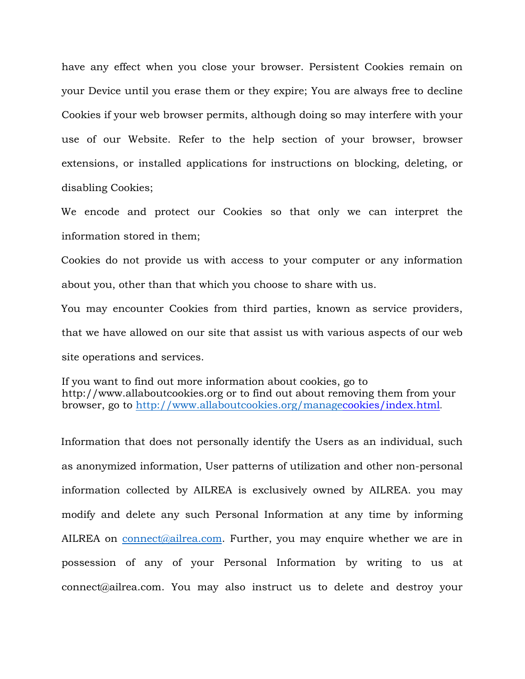have any effect when you close your browser. Persistent Cookies remain on your Device until you erase them or they expire; You are always free to decline Cookies if your web browser permits, although doing so may interfere with your use of our Website. Refer to the help section of your browser, browser extensions, or installed applications for instructions on blocking, deleting, or disabling Cookies;

We encode and protect our Cookies so that only we can interpret the information stored in them;

Cookies do not provide us with access to your computer or any information about you, other than that which you choose to share with us.

You may encounter Cookies from third parties, known as service providers, that we have allowed on our site that assist us with various aspects of our web site operations and services.

If you want to find out more information about cookies, go to http://www.allaboutcookies.org or to find out about removing them from your browser, go to [h](http://www.allaboutcookies.org/manage)ttp://www.allaboutcookies.org/manag[ecookies/index.html](http://www.allaboutcookies.org/manage)[.](http://www.allaboutcookies.org/manage-cookies/index.html)

Information that does not personally identify the Users as an individual, such as anonymized information, User patterns of utilization and other non-personal information collected by AILREA is exclusively owned by AILREA. you may modify and delete any such Personal Information at any time by informing AILREA on connect@ailrea.com. Further, you may enquire whether we are in possession of any of your Personal Information by writing to us at connect@ailrea.com. You may also instruct us to delete and destroy your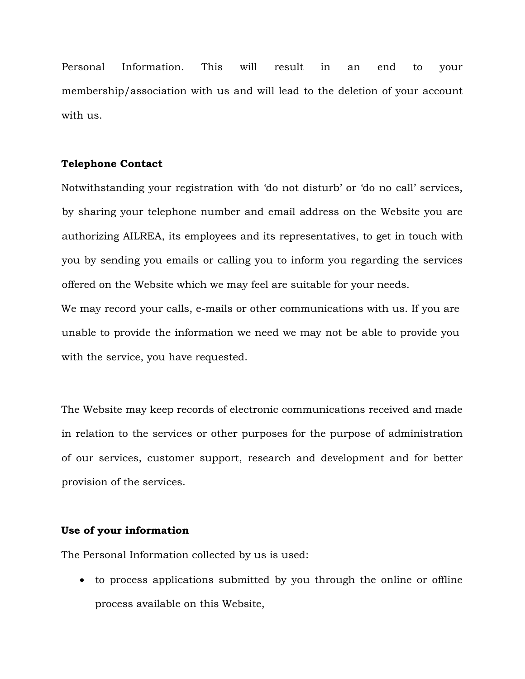Personal Information. This will result in an end to your membership/association with us and will lead to the deletion of your account with us.

# **Telephone Contact**

Notwithstanding your registration with 'do not disturb' or 'do no call' services, by sharing your telephone number and email address on the Website you are authorizing AILREA, its employees and its representatives, to get in touch with you by sending you emails or calling you to inform you regarding the services offered on the Website which we may feel are suitable for your needs.

We may record your calls, e-mails or other communications with us. If you are unable to provide the information we need we may not be able to provide you with the service, you have requested.

The Website may keep records of electronic communications received and made in relation to the services or other purposes for the purpose of administration of our services, customer support, research and development and for better provision of the services.

# **Use of your information**

The Personal Information collected by us is used:

• to process applications submitted by you through the online or offline process available on this Website,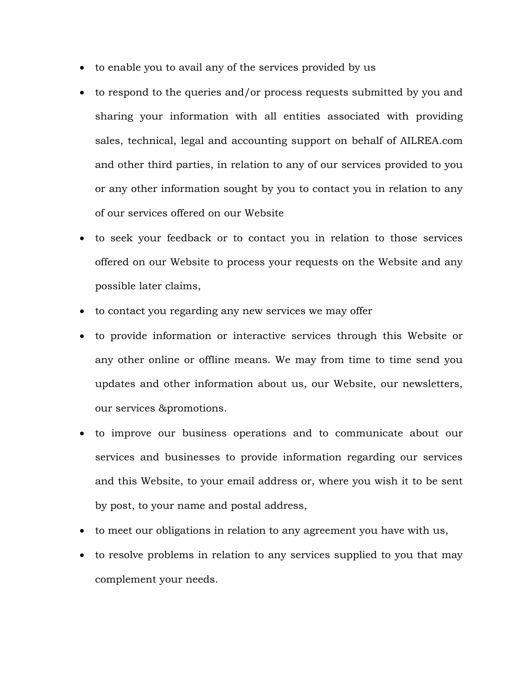- to enable you to avail any of the services provided by us
- to respond to the queries and/or process requests submitted by you and sharing your information with all entities associated with providing sales, technical, legal and accounting support on behalf of AILREA.com and other third parties, in relation to any of our services provided to you or any other information sought by you to contact you in relation to any of our services offered on our Website
- to seek your feedback or to contact you in relation to those services offered on our Website to process your requests on the Website and any possible later claims,
- to contact you regarding any new services we may offer
- to provide information or interactive services through this Website or any other online or offline means. We may from time to time send you updates and other information about us, our Website, our newsletters, our services &promotions.
- to improve our business operations and to communicate about our services and businesses to provide information regarding our services and this Website, to your email address or, where you wish it to be sent by post, to your name and postal address,
- to meet our obligations in relation to any agreement you have with us,
- to resolve problems in relation to any services supplied to you that may complement your needs.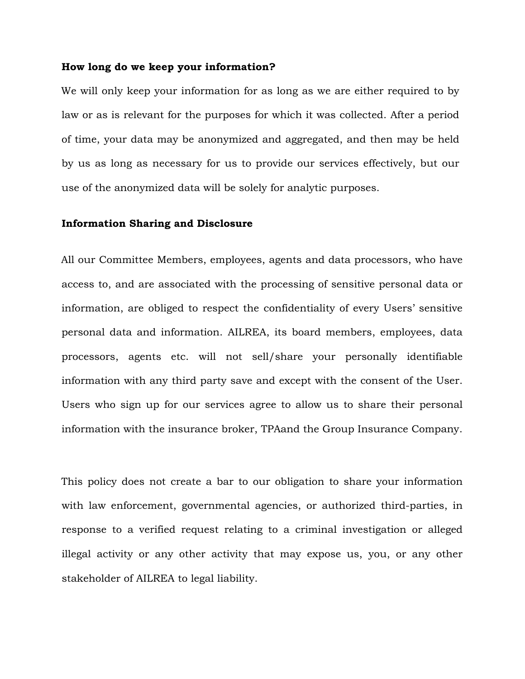## **How long do we keep your information?**

We will only keep your information for as long as we are either required to by law or as is relevant for the purposes for which it was collected. After a period of time, your data may be anonymized and aggregated, and then may be held by us as long as necessary for us to provide our services effectively, but our use of the anonymized data will be solely for analytic purposes.

## **Information Sharing and Disclosure**

All our Committee Members, employees, agents and data processors, who have access to, and are associated with the processing of sensitive personal data or information, are obliged to respect the confidentiality of every Users' sensitive personal data and information. AILREA, its board members, employees, data processors, agents etc. will not sell/share your personally identifiable information with any third party save and except with the consent of the User. Users who sign up for our services agree to allow us to share their personal information with the insurance broker, TPAand the Group Insurance Company.

This policy does not create a bar to our obligation to share your information with law enforcement, governmental agencies, or authorized third-parties, in response to a verified request relating to a criminal investigation or alleged illegal activity or any other activity that may expose us, you, or any other stakeholder of AILREA to legal liability.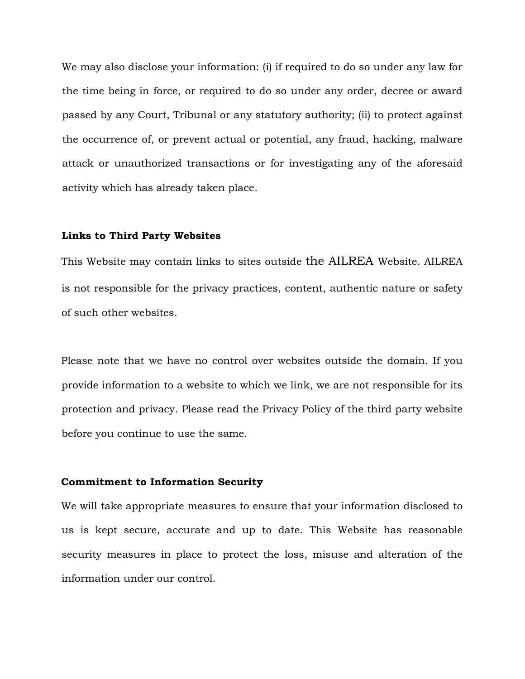We may also disclose your information: (i) if required to do so under any law for the time being in force, or required to do so under any order, decree or award passed by any Court, Tribunal or any statutory authority; (ii) to protect against the occurrence of, or prevent actual or potential, any fraud, hacking, malware attack or unauthorized transactions or for investigating any of the aforesaid activity which has already taken place.

#### **Links to Third Party Websites**

This Website may contain links to sites outside the AILREA Website. AILREA is not responsible for the privacy practices, content, authentic nature or safety of such other websites.

Please note that we have no control over websites outside the domain. If you provide information to a website to which we link, we are not responsible for its protection and privacy. Please read the Privacy Policy of the third party website before you continue to use the same.

## **Commitment to Information Security**

We will take appropriate measures to ensure that your information disclosed to us is kept secure, accurate and up to date. This Website has reasonable security measures in place to protect the loss, misuse and alteration of the information under our control.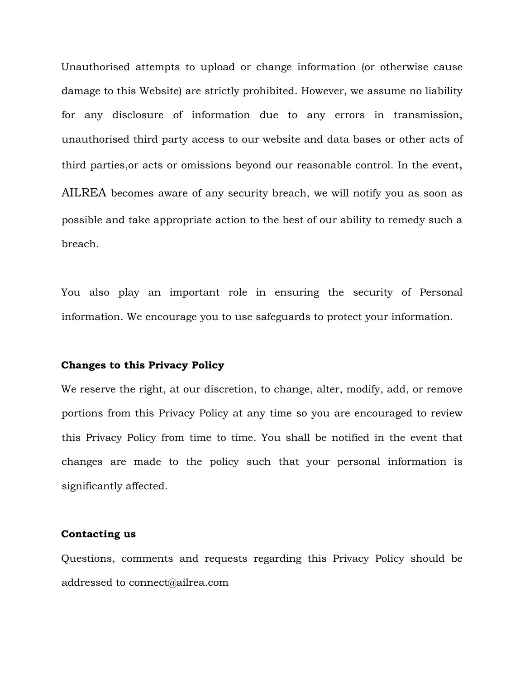Unauthorised attempts to upload or change information (or otherwise cause damage to this Website) are strictly prohibited. However, we assume no liability for any disclosure of information due to any errors in transmission, unauthorised third party access to our website and data bases or other acts of third parties,or acts or omissions beyond our reasonable control. In the event, AILREA becomes aware of any security breach, we will notify you as soon as possible and take appropriate action to the best of our ability to remedy such a breach.

You also play an important role in ensuring the security of Personal information. We encourage you to use safeguards to protect your information.

#### **Changes to this Privacy Policy**

We reserve the right, at our discretion, to change, alter, modify, add, or remove portions from this Privacy Policy at any time so you are encouraged to review this Privacy Policy from time to time. You shall be notified in the event that changes are made to the policy such that your personal information is significantly affected.

## **Contacting us**

Questions, comments and requests regarding this Privacy Policy should be addressed to connect@ailrea.com